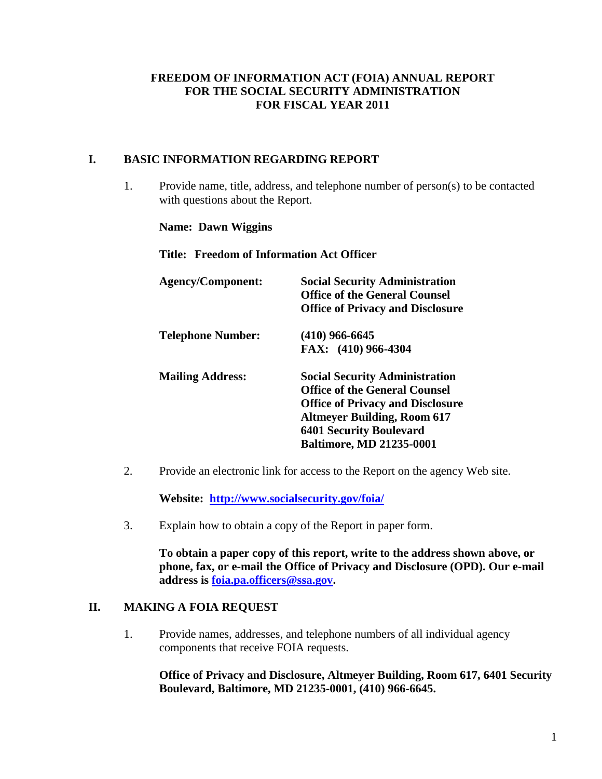## <span id="page-0-0"></span>**FREEDOM OF INFORMATION ACT (FOIA) ANNUAL REPORT FOR THE SOCIAL SECURITY ADMINISTRATION FOR FISCAL YEAR 2011**

### **I. BASIC INFORMATION REGARDING REPORT**

1. Provide name, title, address, and telephone number of person(s) to be contacted with questions about the Report.

**Name: Dawn Wiggins**

**Title: Freedom of Information Act Officer**

| <b>Agency/Component:</b> | <b>Social Security Administration</b><br><b>Office of the General Counsel</b><br><b>Office of Privacy and Disclosure</b>                                                                                                            |
|--------------------------|-------------------------------------------------------------------------------------------------------------------------------------------------------------------------------------------------------------------------------------|
| <b>Telephone Number:</b> | $(410)$ 966-6645                                                                                                                                                                                                                    |
|                          | FAX: (410) 966-4304                                                                                                                                                                                                                 |
| <b>Mailing Address:</b>  | <b>Social Security Administration</b><br><b>Office of the General Counsel</b><br><b>Office of Privacy and Disclosure</b><br><b>Altmeyer Building, Room 617</b><br><b>6401 Security Boulevard</b><br><b>Baltimore, MD 21235-0001</b> |

2. Provide an electronic link for access to the Report on the agency Web site.

**Website: <http://www.socialsecurity.gov/foia/>**

3. Explain how to obtain a copy of the Report in paper form.

**To obtain a paper copy of this report, write to the address shown above, or phone, fax, or e-mail the Office of Privacy and Disclosure (OPD). Our e-mail address is [foia.pa.officers@ssa.gov.](mailto:foia.pa.officers@ssa.gov)**

#### **II. MAKING A FOIA REQUEST**

1. Provide names, addresses, and telephone numbers of all individual agency components that receive FOIA requests.

**Office of Privacy and Disclosure, Altmeyer Building, Room 617, 6401 Security Boulevard, Baltimore, MD 21235-0001, (410) 966-6645.**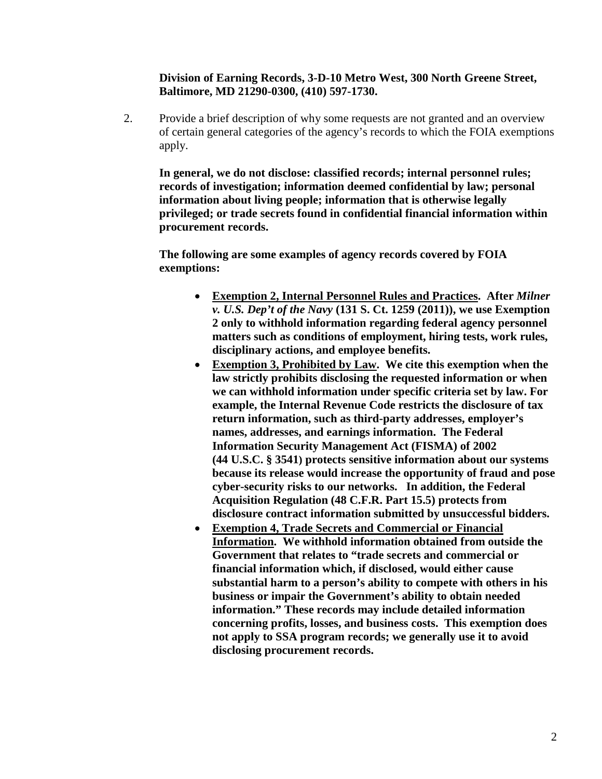**Division of Earning Records, 3-D-10 Metro West, 300 North Greene Street, Baltimore, MD 21290-0300, (410) 597-1730.**

2. Provide a brief description of why some requests are not granted and an overview of certain general categories of the agency's records to which the FOIA exemptions apply.

**In general, we do not disclose: classified records; internal personnel rules; records of investigation; information deemed confidential by law; personal information about living people; information that is otherwise legally privileged; or trade secrets found in confidential financial information within procurement records.**

**The following are some examples of agency records covered by FOIA exemptions:**

- **Exemption 2, Internal Personnel Rules and Practices. After** *Milner v. U.S. Dep't of the Navy* **(131 S. Ct. 1259 (2011)), we use Exemption 2 only to withhold information regarding federal agency personnel matters such as conditions of employment, hiring tests, work rules, disciplinary actions, and employee benefits.**
- **Exemption 3, Prohibited by Law. We cite this exemption when the law strictly prohibits disclosing the requested information or when we can withhold information under specific criteria set by law. For example, the Internal Revenue Code restricts the disclosure of tax return information, such as third-party addresses, employer's names, addresses, and earnings information. The Federal Information Security Management Act (FISMA) of 2002 [\(44 U.S.C.](http://en.wikipedia.org/wiki/Title_44_of_the_United_States_Code) § [3541\)](http://www.law.cornell.edu/uscode/44/3541.html) protects sensitive information about our systems because its release would increase the opportunity of fraud and pose cyber-security risks to our networks. In addition, the Federal Acquisition Regulation (48 C.F.R. Part 15.5) protects from disclosure contract information submitted by unsuccessful bidders.**
- **Exemption 4, Trade Secrets and Commercial or Financial Information. We withhold information obtained from outside the Government that relates to "trade secrets and commercial or financial information which, if disclosed, would either cause substantial harm to a person's ability to compete with others in his business or impair the Government's ability to obtain needed information." These records may include detailed information concerning profits, losses, and business costs. This exemption does not apply to SSA program records; we generally use it to avoid disclosing procurement records.**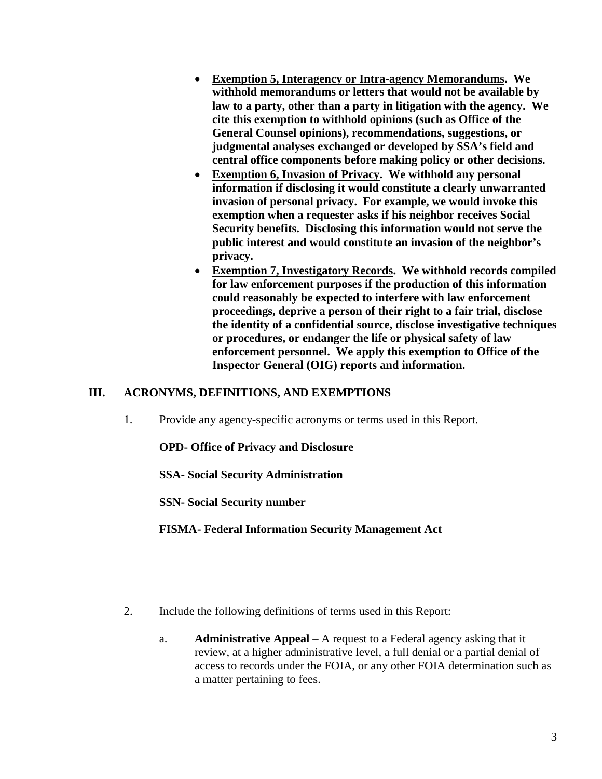- **Exemption 5, Interagency or Intra-agency Memorandums. We withhold memorandums or letters that would not be available by law to a party, other than a party in litigation with the agency. We cite this exemption to withhold opinions (such as Office of the General Counsel opinions), recommendations, suggestions, or judgmental analyses exchanged or developed by SSA's field and central office components before making policy or other decisions.**
- **Exemption 6, Invasion of Privacy. We withhold any personal information if disclosing it would constitute a clearly unwarranted invasion of personal privacy. For example, we would invoke this exemption when a requester asks if his neighbor receives Social Security benefits. Disclosing this information would not serve the public interest and would constitute an invasion of the neighbor's privacy.**
- **Exemption 7, Investigatory Records. We withhold records compiled for law enforcement purposes if the production of this information could reasonably be expected to interfere with law enforcement proceedings, deprive a person of their right to a fair trial, disclose the identity of a confidential source, disclose investigative techniques or procedures, or endanger the life or physical safety of law enforcement personnel. We apply this exemption to Office of the Inspector General (OIG) reports and information.**

## **III. ACRONYMS, DEFINITIONS, AND EXEMPTIONS**

1. Provide any agency-specific acronyms or terms used in this Report.

**OPD- Office of Privacy and Disclosure**

**SSA- Social Security Administration**

**SSN- Social Security number**

**FISMA- Federal Information Security Management Act**

- 2. Include the following definitions of terms used in this Report:
	- a. **Administrative Appeal** A request to a Federal agency asking that it review, at a higher administrative level, a full denial or a partial denial of access to records under the FOIA, or any other FOIA determination such as a matter pertaining to fees.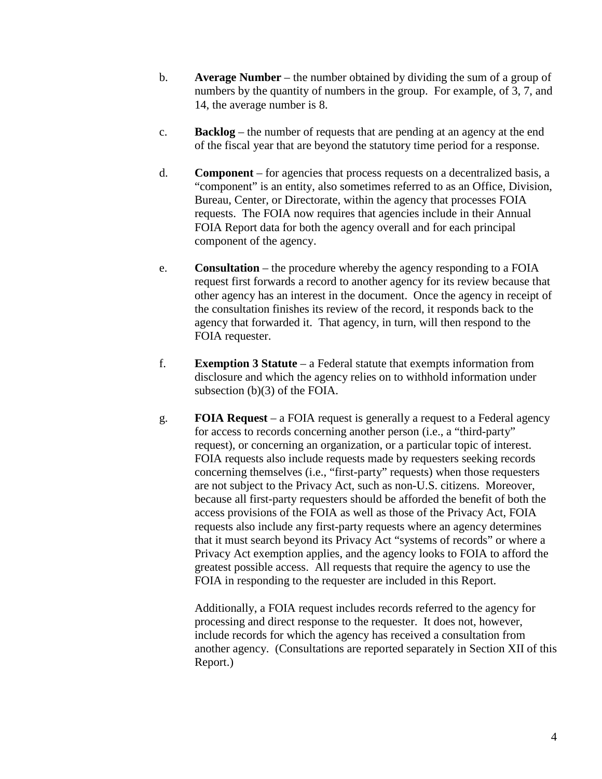- b. **Average Number** the number obtained by dividing the sum of a group of numbers by the quantity of numbers in the group. For example, of 3, 7, and 14, the average number is 8.
- c. **Backlog** the number of requests that are pending at an agency at the end of the fiscal year that are beyond the statutory time period for a response.
- d. **Component** for agencies that process requests on a decentralized basis, a "component" is an entity, also sometimes referred to as an Office, Division, Bureau, Center, or Directorate, within the agency that processes FOIA requests. The FOIA now requires that agencies include in their Annual FOIA Report data for both the agency overall and for each principal component of the agency.
- e. **Consultation** the procedure whereby the agency responding to a FOIA request first forwards a record to another agency for its review because that other agency has an interest in the document. Once the agency in receipt of the consultation finishes its review of the record, it responds back to the agency that forwarded it. That agency, in turn, will then respond to the FOIA requester.
- f. **Exemption 3 Statute** a Federal statute that exempts information from disclosure and which the agency relies on to withhold information under subsection (b)(3) of the FOIA.
- g. **FOIA Request** a FOIA request is generally a request to a Federal agency for access to records concerning another person (i.e., a "third-party" request), or concerning an organization, or a particular topic of interest. FOIA requests also include requests made by requesters seeking records concerning themselves (i.e., "first-party" requests) when those requesters are not subject to the Privacy Act, such as non-U.S. citizens. Moreover, because all first-party requesters should be afforded the benefit of both the access provisions of the FOIA as well as those of the Privacy Act, FOIA requests also include any first-party requests where an agency determines that it must search beyond its Privacy Act "systems of records" or where a Privacy Act exemption applies, and the agency looks to FOIA to afford the greatest possible access. All requests that require the agency to use the FOIA in responding to the requester are included in this Report.

Additionally, a FOIA request includes records referred to the agency for processing and direct response to the requester. It does not, however, include records for which the agency has received a consultation from another agency. (Consultations are reported separately in Section XII of this Report.)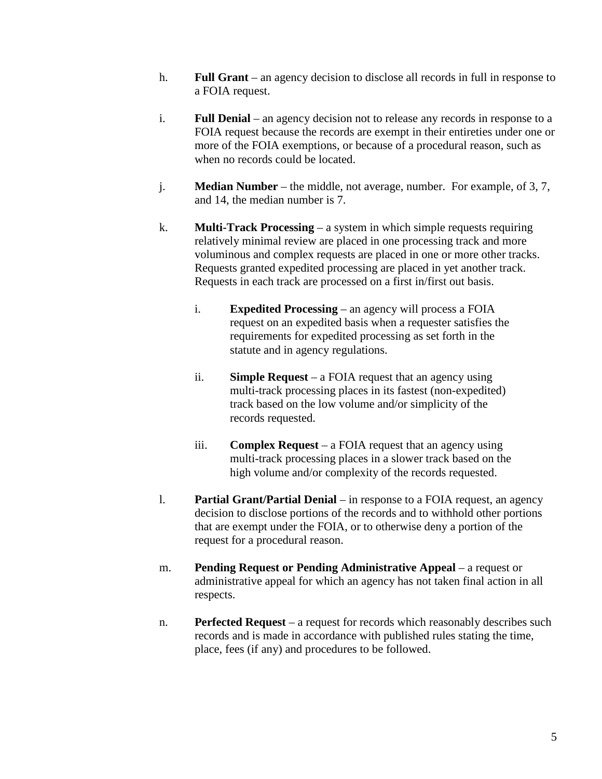- h. **Full Grant** an agency decision to disclose all records in full in response to a FOIA request.
- i. **Full Denial** an agency decision not to release any records in response to a FOIA request because the records are exempt in their entireties under one or more of the FOIA exemptions, or because of a procedural reason, such as when no records could be located.
- j. **Median Number** the middle, not average, number. For example, of 3, 7, and 14, the median number is 7.
- k. **Multi-Track Processing** a system in which simple requests requiring relatively minimal review are placed in one processing track and more voluminous and complex requests are placed in one or more other tracks. Requests granted expedited processing are placed in yet another track. Requests in each track are processed on a first in/first out basis.
	- i. **Expedited Processing** an agency will process a FOIA request on an expedited basis when a requester satisfies the requirements for expedited processing as set forth in the statute and in agency regulations.
	- ii. **Simple Request** a FOIA request that an agency using multi-track processing places in its fastest (non-expedited) track based on the low volume and/or simplicity of the records requested.
	- iii. **Complex Request** a FOIA request that an agency using multi-track processing places in a slower track based on the high volume and/or complexity of the records requested.
- l. **Partial Grant/Partial Denial** in response to a FOIA request, an agency decision to disclose portions of the records and to withhold other portions that are exempt under the FOIA, or to otherwise deny a portion of the request for a procedural reason.
- m. **Pending Request or Pending Administrative Appeal** a request or administrative appeal for which an agency has not taken final action in all respects.
- n. **Perfected Request** a request for records which reasonably describes such records and is made in accordance with published rules stating the time, place, fees (if any) and procedures to be followed.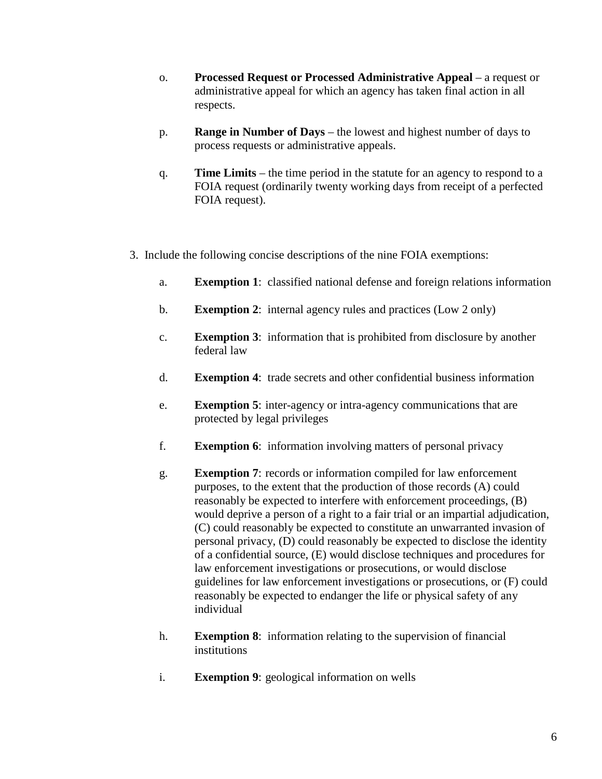- o. **Processed Request or Processed Administrative Appeal** a request or administrative appeal for which an agency has taken final action in all respects.
- p. **Range in Number of Days** the lowest and highest number of days to process requests or administrative appeals.
- q. **Time Limits** the time period in the statute for an agency to respond to a FOIA request (ordinarily twenty working days from receipt of a perfected FOIA request).
- 3. Include the following concise descriptions of the nine FOIA exemptions:
	- a. **Exemption 1**: classified national defense and foreign relations information
	- b. **Exemption 2**: internal agency rules and practices (Low 2 only)
	- c. **Exemption 3**: information that is prohibited from disclosure by another federal law
	- d. **Exemption 4**: trade secrets and other confidential business information
	- e. **Exemption 5**: inter-agency or intra-agency communications that are protected by legal privileges
	- f. **Exemption 6**: information involving matters of personal privacy
	- g. **Exemption 7**: records or information compiled for law enforcement purposes, to the extent that the production of those records (A) could reasonably be expected to interfere with enforcement proceedings, (B) would deprive a person of a right to a fair trial or an impartial adjudication, (C) could reasonably be expected to constitute an unwarranted invasion of personal privacy, (D) could reasonably be expected to disclose the identity of a confidential source, (E) would disclose techniques and procedures for law enforcement investigations or prosecutions, or would disclose guidelines for law enforcement investigations or prosecutions, or (F) could reasonably be expected to endanger the life or physical safety of any individual
	- h. **Exemption 8**: information relating to the supervision of financial institutions
	- i. **Exemption 9**: geological information on wells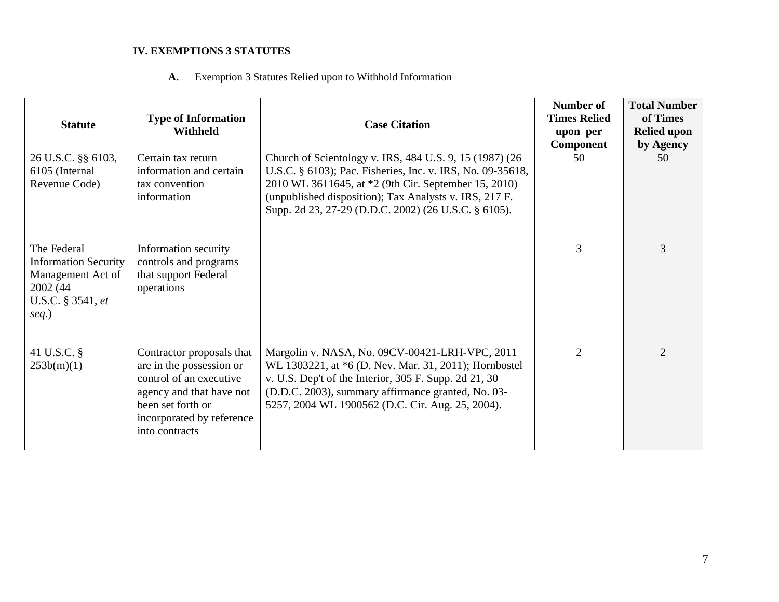## **IV. EXEMPTIONS 3 STATUTES**

 **A.** Exemption 3 Statutes Relied upon to Withhold Information

| <b>Statute</b>                                                                                                | <b>Type of Information</b><br><b>Withheld</b>                                                                                                                                    | <b>Case Citation</b>                                                                                                                                                                                                                                                                            | Number of<br><b>Times Relied</b><br>upon per<br><b>Component</b> | <b>Total Number</b><br>of Times<br><b>Relied upon</b><br>by Agency |
|---------------------------------------------------------------------------------------------------------------|----------------------------------------------------------------------------------------------------------------------------------------------------------------------------------|-------------------------------------------------------------------------------------------------------------------------------------------------------------------------------------------------------------------------------------------------------------------------------------------------|------------------------------------------------------------------|--------------------------------------------------------------------|
| 26 U.S.C. §§ 6103,<br>6105 (Internal<br>Revenue Code)                                                         | Certain tax return<br>information and certain<br>tax convention<br>information                                                                                                   | Church of Scientology v. IRS, 484 U.S. 9, 15 (1987) (26<br>U.S.C. § 6103); Pac. Fisheries, Inc. v. IRS, No. 09-35618,<br>2010 WL 3611645, at *2 (9th Cir. September 15, 2010)<br>(unpublished disposition); Tax Analysts v. IRS, 217 F.<br>Supp. 2d 23, 27-29 (D.D.C. 2002) (26 U.S.C. § 6105). | 50                                                               | 50                                                                 |
| The Federal<br><b>Information Security</b><br>Management Act of<br>2002 (44)<br>U.S.C. § 3541, et<br>$seq.$ ) | Information security<br>controls and programs<br>that support Federal<br>operations                                                                                              |                                                                                                                                                                                                                                                                                                 | 3                                                                | 3                                                                  |
| 41 U.S.C. §<br>253b(m)(1)                                                                                     | Contractor proposals that<br>are in the possession or<br>control of an executive<br>agency and that have not<br>been set forth or<br>incorporated by reference<br>into contracts | Margolin v. NASA, No. 09CV-00421-LRH-VPC, 2011<br>WL 1303221, at *6 (D. Nev. Mar. 31, 2011); Hornbostel<br>v. U.S. Dep't of the Interior, 305 F. Supp. 2d 21, 30<br>(D.D.C. 2003), summary affirmance granted, No. 03-<br>5257, 2004 WL 1900562 (D.C. Cir. Aug. 25, 2004).                      | $\overline{2}$                                                   | $\overline{2}$                                                     |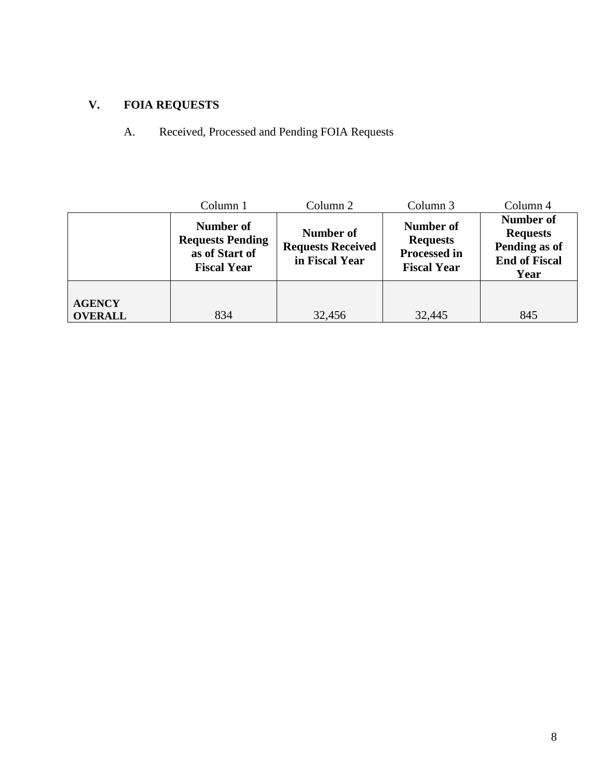## **V. FOIA REQUESTS**

A. Received, Processed and Pending FOIA Requests

|                                 | Column 1                                                                     | Column 2 | Column 3                                                                  | Column 4                                                                      |
|---------------------------------|------------------------------------------------------------------------------|----------|---------------------------------------------------------------------------|-------------------------------------------------------------------------------|
|                                 | Number of<br><b>Requests Pending</b><br>as of Start of<br><b>Fiscal Year</b> |          | Number of<br><b>Requests</b><br><b>Processed in</b><br><b>Fiscal Year</b> | Number of<br><b>Requests</b><br>Pending as of<br><b>End of Fiscal</b><br>Year |
| <b>AGENCY</b><br><b>OVERALL</b> | 834                                                                          | 32,456   | 32,445                                                                    | 845                                                                           |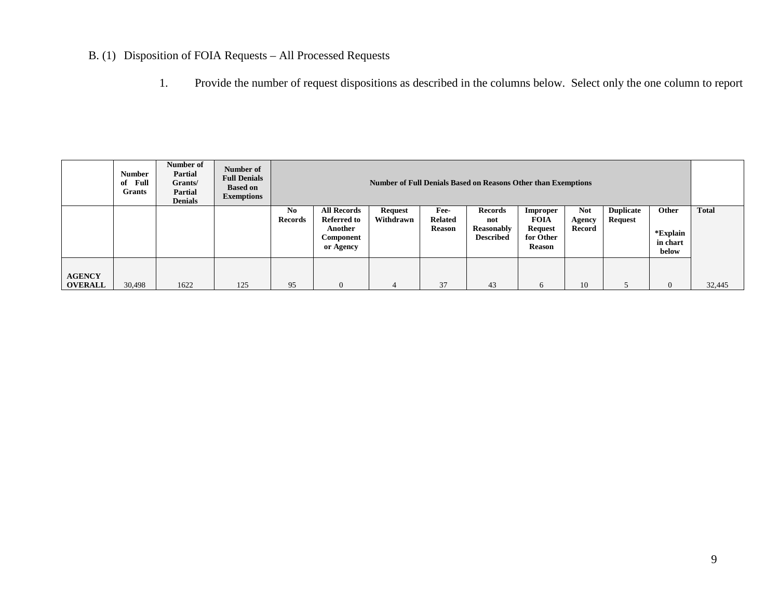## B. (1) Disposition of FOIA Requests – All Processed Requests

1. Provide the number of request dispositions as described in the columns below. Select only the one column to report

|                                 | <b>Number</b><br>Full<br>of<br><b>Grants</b> | Number of<br><b>Partial</b><br>Grants/<br><b>Partial</b><br><b>Denials</b> | Number of<br><b>Full Denials</b><br><b>Based on</b><br><b>Exemptions</b> |                                  | <b>Number of Full Denials Based on Reasons Other than Exemptions</b>                 |                             |                                         |                                                  |                                                                  |                                |                             |                                        |        |
|---------------------------------|----------------------------------------------|----------------------------------------------------------------------------|--------------------------------------------------------------------------|----------------------------------|--------------------------------------------------------------------------------------|-----------------------------|-----------------------------------------|--------------------------------------------------|------------------------------------------------------------------|--------------------------------|-----------------------------|----------------------------------------|--------|
|                                 |                                              |                                                                            |                                                                          | N <sub>0</sub><br><b>Records</b> | <b>All Records</b><br><b>Referred to</b><br>Another<br><b>Component</b><br>or Agency | <b>Request</b><br>Withdrawn | Fee-<br><b>Related</b><br><b>Reason</b> | Records<br>not<br>Reasonably<br><b>Described</b> | Improper<br><b>FOIA</b><br><b>Request</b><br>for Other<br>Reason | <b>Not</b><br>Agency<br>Record | <b>Duplicate</b><br>Request | Other<br>*Explain<br>in chart<br>below | Total  |
| <b>AGENCY</b><br><b>OVERALL</b> | 30,498                                       | 1622                                                                       | 125                                                                      | 95                               | $\Omega$                                                                             | $\overline{4}$              | 37                                      | 43                                               | 6                                                                | 10                             |                             |                                        | 32,445 |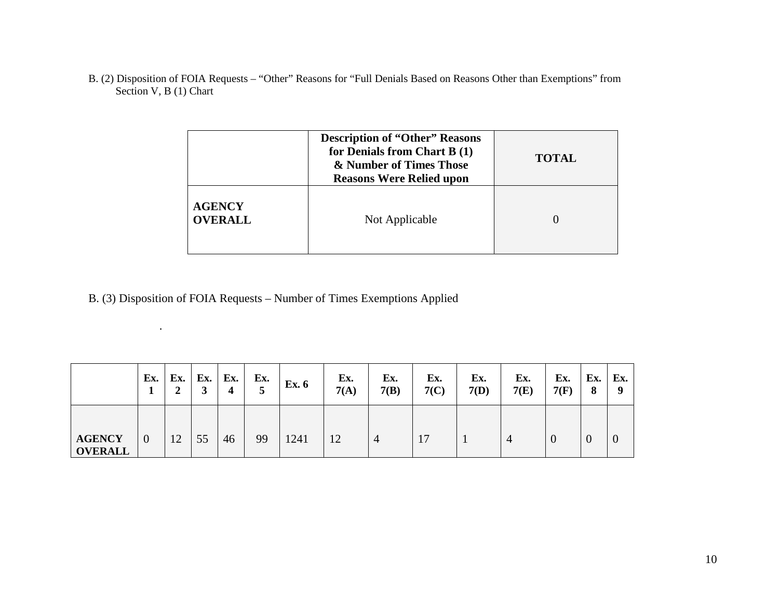B. (2) Disposition of FOIA Requests – "Other" Reasons for "Full Denials Based on Reasons Other than Exemptions" from Section V, B (1) Chart

|                                 | <b>Description of "Other" Reasons</b><br>for Denials from Chart B (1)<br>& Number of Times Those<br><b>Reasons Were Relied upon</b> | <b>TOTAL</b> |
|---------------------------------|-------------------------------------------------------------------------------------------------------------------------------------|--------------|
| <b>AGENCY</b><br><b>OVERALL</b> | Not Applicable                                                                                                                      |              |

B. (3) Disposition of FOIA Requests – Number of Times Exemptions Applied

.

|                                 | Ex.            | Ex.<br>◢ | Ex. | Ex. | Ex.<br>5 | <b>Ex. 6</b> | Ex.<br>7(A) | Ex.<br>7(B) | Ex.<br>7(C) | Ex.<br>7(D) | Ex.<br>7(E) | Ex.<br>7(F) | Ex.<br>8       | Ex.<br>-9      |
|---------------------------------|----------------|----------|-----|-----|----------|--------------|-------------|-------------|-------------|-------------|-------------|-------------|----------------|----------------|
| <b>AGENCY</b><br><b>OVERALL</b> | $\overline{0}$ | 12       | 55  | 46  | 99       | 1241         | 12          | 4           | 17          |             | 4           | v           | $\overline{0}$ | $\overline{0}$ |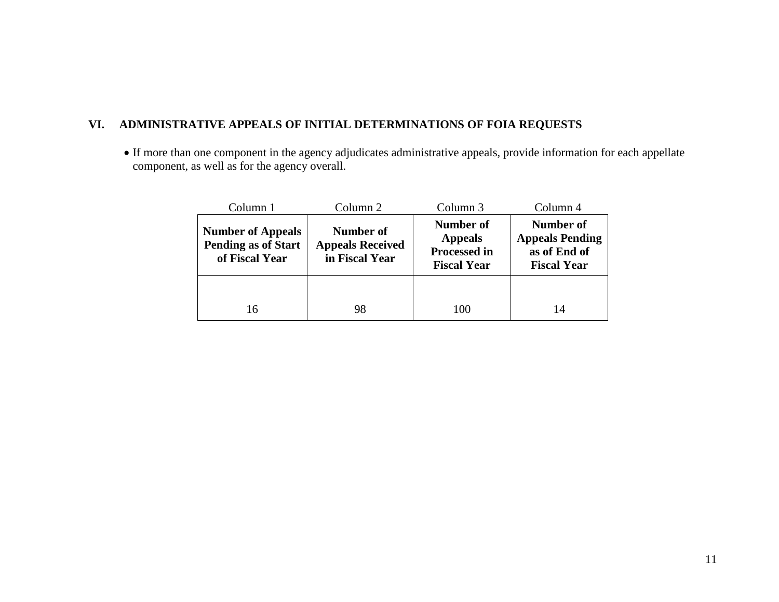## **VI. ADMINISTRATIVE APPEALS OF INITIAL DETERMINATIONS OF FOIA REQUESTS**

• If more than one component in the agency adjudicates administrative appeals, provide information for each appellate component, as well as for the agency overall.

| Column 1                                                                 | Column 2                                                      | Column <sub>3</sub>                                                             | Column 4                                                                  |  |  |
|--------------------------------------------------------------------------|---------------------------------------------------------------|---------------------------------------------------------------------------------|---------------------------------------------------------------------------|--|--|
| <b>Number of Appeals</b><br><b>Pending as of Start</b><br>of Fiscal Year | <b>Number of</b><br><b>Appeals Received</b><br>in Fiscal Year | <b>Number of</b><br><b>Appeals</b><br><b>Processed in</b><br><b>Fiscal Year</b> | Number of<br><b>Appeals Pending</b><br>as of End of<br><b>Fiscal Year</b> |  |  |
|                                                                          |                                                               |                                                                                 |                                                                           |  |  |
| 16                                                                       | 98                                                            | 100                                                                             | 14                                                                        |  |  |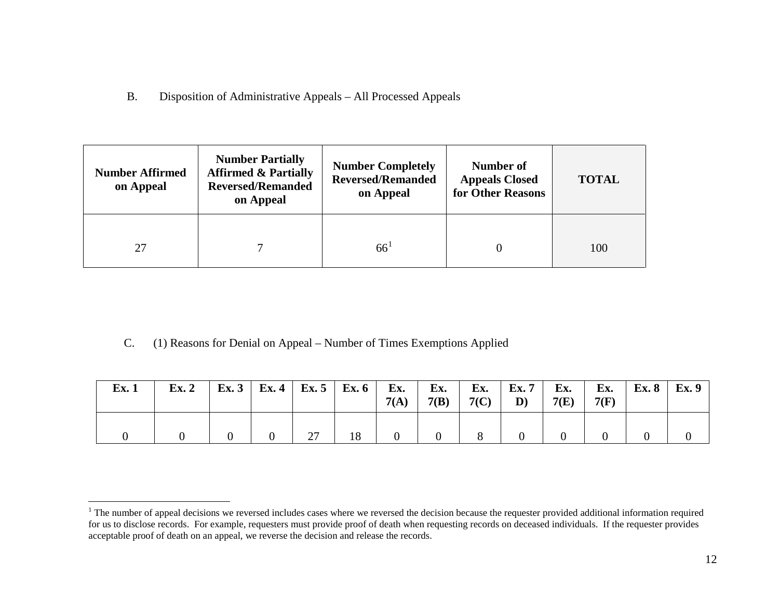<span id="page-11-0"></span>B. Disposition of Administrative Appeals – All Processed Appeals

| <b>Number Affirmed</b><br>on Appeal | <b>Number Partially</b><br><b>Affirmed &amp; Partially</b><br><b>Reversed/Remanded</b><br>on Appeal | <b>Number Completely</b><br><b>Reversed/Remanded</b><br>on Appeal | Number of<br><b>Appeals Closed</b><br>for Other Reasons | <b>TOTAL</b> |
|-------------------------------------|-----------------------------------------------------------------------------------------------------|-------------------------------------------------------------------|---------------------------------------------------------|--------------|
| 27                                  |                                                                                                     | $66^{\circ}$                                                      |                                                         | 100          |

C. (1) Reasons for Denial on Appeal – Number of Times Exemptions Applied

| Ex.1 | Ex. 2 | Ex. 3   Ex. 4   Ex. 5   Ex. 6   Ex. |    |    | 7(A) | Ex.<br>7(B) | Ex.<br>7(C) | Ex.7<br>D) | Ex.<br>7(E) | Ex.<br>7(F) | <b>Ex. 8</b> | <b>Ex.</b> 9 |
|------|-------|-------------------------------------|----|----|------|-------------|-------------|------------|-------------|-------------|--------------|--------------|
|      |       |                                     | 27 | 18 |      |             |             |            |             |             |              |              |

<sup>&</sup>lt;sup>1</sup> The number of appeal decisions we reversed includes cases where we reversed the decision because the requester provided additional information required for us to disclose records. For example, requesters must provide proof of death when requesting records on deceased individuals. If the requester provides acceptable proof of death on an appeal, we reverse the decision and release the records.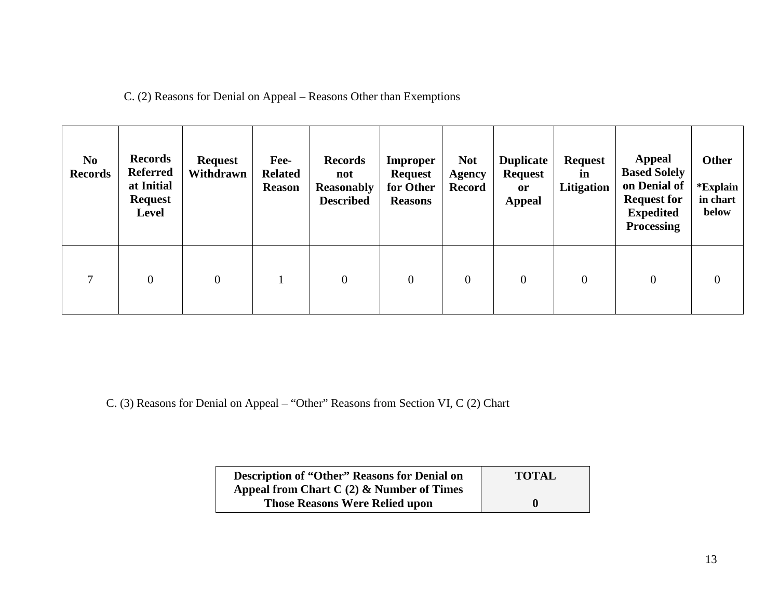C. (2) Reasons for Denial on Appeal – Reasons Other than Exemptions

| N <sub>0</sub><br><b>Records</b> | <b>Records</b><br><b>Referred</b><br>at Initial<br><b>Request</b><br><b>Level</b> | <b>Request</b><br>Withdrawn | Fee-<br><b>Related</b><br><b>Reason</b> | <b>Records</b><br>not<br><b>Reasonably</b><br><b>Described</b> | <b>Improper</b><br><b>Request</b><br>for Other<br><b>Reasons</b> | <b>Not</b><br><b>Agency</b><br><b>Record</b> | <b>Duplicate</b><br><b>Request</b><br><b>or</b><br><b>Appeal</b> | <b>Request</b><br>in<br>Litigation | <b>Appeal</b><br><b>Based Solely</b><br>on Denial of<br><b>Request for</b><br><b>Expedited</b><br><b>Processing</b> | <b>Other</b><br>*Explain<br>in chart<br>below |
|----------------------------------|-----------------------------------------------------------------------------------|-----------------------------|-----------------------------------------|----------------------------------------------------------------|------------------------------------------------------------------|----------------------------------------------|------------------------------------------------------------------|------------------------------------|---------------------------------------------------------------------------------------------------------------------|-----------------------------------------------|
| $\tau$                           | $\theta$                                                                          | $\overline{0}$              |                                         | $\overline{0}$                                                 | $\overline{0}$                                                   | $\overline{0}$                               | $\overline{0}$                                                   | $\overline{0}$                     | $\boldsymbol{0}$                                                                                                    | $\overline{0}$                                |

C. (3) Reasons for Denial on Appeal – "Other" Reasons from Section VI, C (2) Chart

| <b>Description of "Other" Reasons for Denial on</b> | <b>TOTAL</b> |
|-----------------------------------------------------|--------------|
| Appeal from Chart C $(2)$ & Number of Times         |              |
| <b>Those Reasons Were Relied upon</b>               | $\bf{0}$     |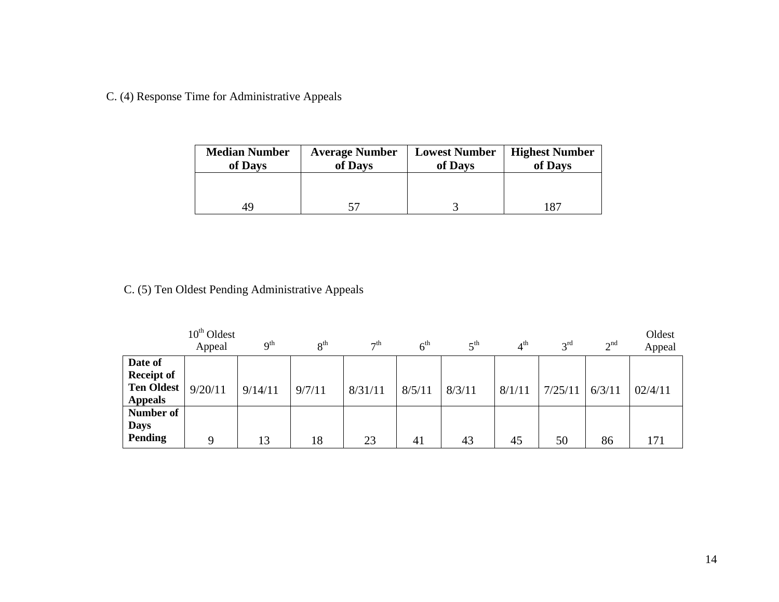C. (4) Response Time for Administrative Appeals

| <b>Median Number</b><br>of Days | <b>Average Number</b><br>of Days | <b>Lowest Number</b><br>of Days | <b>Highest Number</b><br>of Days |  |  |
|---------------------------------|----------------------------------|---------------------------------|----------------------------------|--|--|
|                                 |                                  |                                 |                                  |  |  |
| 49.                             |                                  |                                 | 187                              |  |  |

C. (5) Ten Oldest Pending Administrative Appeals

|                   | $10th$ Oldest<br>Appeal | $\mathbf{Q}^{\text{th}}$ | 8 <sup>th</sup> | $\tau$ <sup>th</sup> | $6^{\text{th}}$ | $\zeta$ <sup>th</sup> | 4 <sup>th</sup> | 3 <sup>rd</sup> | 2 <sup>nd</sup> | Oldest<br>Appeal |
|-------------------|-------------------------|--------------------------|-----------------|----------------------|-----------------|-----------------------|-----------------|-----------------|-----------------|------------------|
| Date of           |                         |                          |                 |                      |                 |                       |                 |                 |                 |                  |
| <b>Receipt of</b> |                         |                          |                 |                      |                 |                       |                 |                 |                 |                  |
| <b>Ten Oldest</b> | 9/20/11                 | 9/14/11                  | 9/7/11          | 8/31/11              | 8/5/11          | 8/3/11                | 8/1/11          | 7/25/11         | 6/3/11          | 02/4/11          |
| <b>Appeals</b>    |                         |                          |                 |                      |                 |                       |                 |                 |                 |                  |
| Number of         |                         |                          |                 |                      |                 |                       |                 |                 |                 |                  |
| <b>Days</b>       |                         |                          |                 |                      |                 |                       |                 |                 |                 |                  |
| <b>Pending</b>    | Q                       | 13                       | 18              | 23                   | 41              | 43                    | 45              | 50              | 86              | 171              |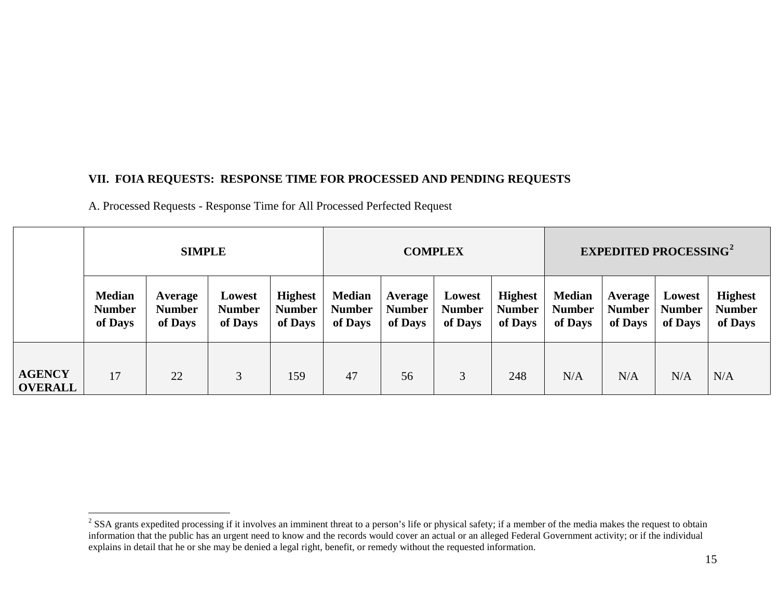## **VII. FOIA REQUESTS: RESPONSE TIME FOR PROCESSED AND PENDING REQUESTS**

A. Processed Requests - Response Time for All Processed Perfected Request

|                                 | <b>SIMPLE</b>                             |                                     |                                    |                                            |                                           |                                     | <b>COMPLEX</b>                     |                                            | <b>EXPEDITED PROCESSING<sup>2</sup></b>   |                                     |                                    |                                            |
|---------------------------------|-------------------------------------------|-------------------------------------|------------------------------------|--------------------------------------------|-------------------------------------------|-------------------------------------|------------------------------------|--------------------------------------------|-------------------------------------------|-------------------------------------|------------------------------------|--------------------------------------------|
|                                 | <b>Median</b><br><b>Number</b><br>of Days | Average<br><b>Number</b><br>of Days | Lowest<br><b>Number</b><br>of Days | <b>Highest</b><br><b>Number</b><br>of Days | <b>Median</b><br><b>Number</b><br>of Days | Average<br><b>Number</b><br>of Days | Lowest<br><b>Number</b><br>of Days | <b>Highest</b><br><b>Number</b><br>of Days | <b>Median</b><br><b>Number</b><br>of Days | Average<br><b>Number</b><br>of Days | Lowest<br><b>Number</b><br>of Days | <b>Highest</b><br><b>Number</b><br>of Days |
| <b>AGENCY</b><br><b>OVERALL</b> | 17                                        | 22                                  | 3                                  | 159                                        | 47                                        | 56                                  | 3                                  | 248                                        | N/A                                       | N/A                                 | N/A                                | N/A                                        |

<span id="page-14-0"></span><sup>&</sup>lt;sup>2</sup> SSA grants expedited processing if it involves an imminent threat to a person's life or physical safety; if a member of the media makes the request to obtain information that the public has an urgent need to know and the records would cover an actual or an alleged Federal Government activity; or if the individual explains in detail that he or she may be denied a legal right, benefit, or remedy without the requested information.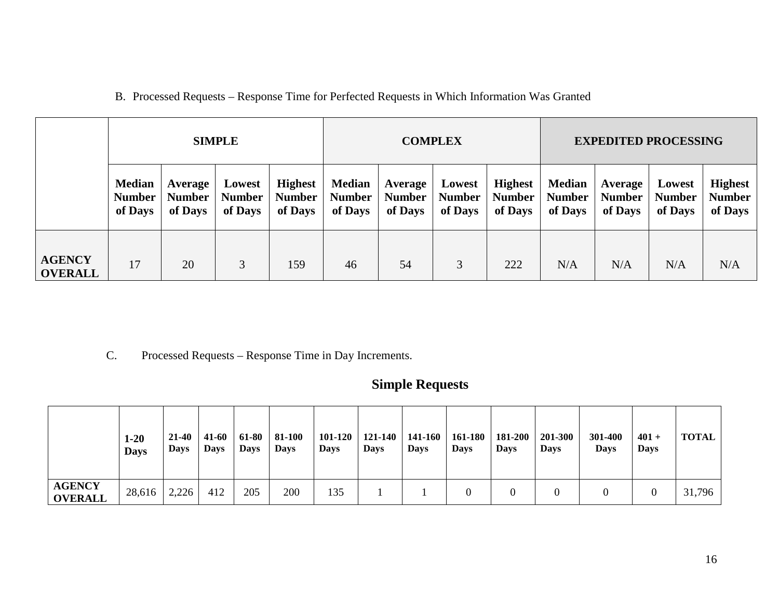|                                 | <b>SIMPLE</b>                             |                                     |                                    |                                            |                                           | <b>COMPLEX</b>                      |                                    |                                            | <b>EXPEDITED PROCESSING</b>               |                                     |                                    |                                            |
|---------------------------------|-------------------------------------------|-------------------------------------|------------------------------------|--------------------------------------------|-------------------------------------------|-------------------------------------|------------------------------------|--------------------------------------------|-------------------------------------------|-------------------------------------|------------------------------------|--------------------------------------------|
|                                 | <b>Median</b><br><b>Number</b><br>of Days | Average<br><b>Number</b><br>of Days | Lowest<br><b>Number</b><br>of Days | <b>Highest</b><br><b>Number</b><br>of Days | <b>Median</b><br><b>Number</b><br>of Days | Average<br><b>Number</b><br>of Days | Lowest<br><b>Number</b><br>of Days | <b>Highest</b><br><b>Number</b><br>of Days | <b>Median</b><br><b>Number</b><br>of Days | Average<br><b>Number</b><br>of Days | Lowest<br><b>Number</b><br>of Days | <b>Highest</b><br><b>Number</b><br>of Days |
| <b>AGENCY</b><br><b>OVERALL</b> | 17                                        | 20                                  | 3                                  | 159                                        | 46                                        | 54                                  | 3                                  | 222                                        | N/A                                       | N/A                                 | N/A                                | N/A                                        |

C. Processed Requests – Response Time in Day Increments.

# **Simple Requests**

|                                 | $1-20$<br><b>Days</b> | 21-40<br><b>Days</b> | 41-60<br><b>Days</b> | 61-80<br><b>Days</b> | 81-100<br><b>Days</b> | 101-120<br><b>Days</b> | 121-140<br><b>Days</b> | 141-160<br><b>Days</b> | 161-180<br><b>Days</b> | 181-200<br><b>Days</b> | 201-300<br><b>Days</b> | 301-400<br>Days | $401 +$<br><b>Days</b> | <b>TOTAL</b> |
|---------------------------------|-----------------------|----------------------|----------------------|----------------------|-----------------------|------------------------|------------------------|------------------------|------------------------|------------------------|------------------------|-----------------|------------------------|--------------|
| <b>AGENCY</b><br><b>OVERALL</b> | 28,616                | 2,226                | 412                  | 205                  | 200                   | 135                    |                        |                        |                        |                        |                        |                 |                        | 31,796       |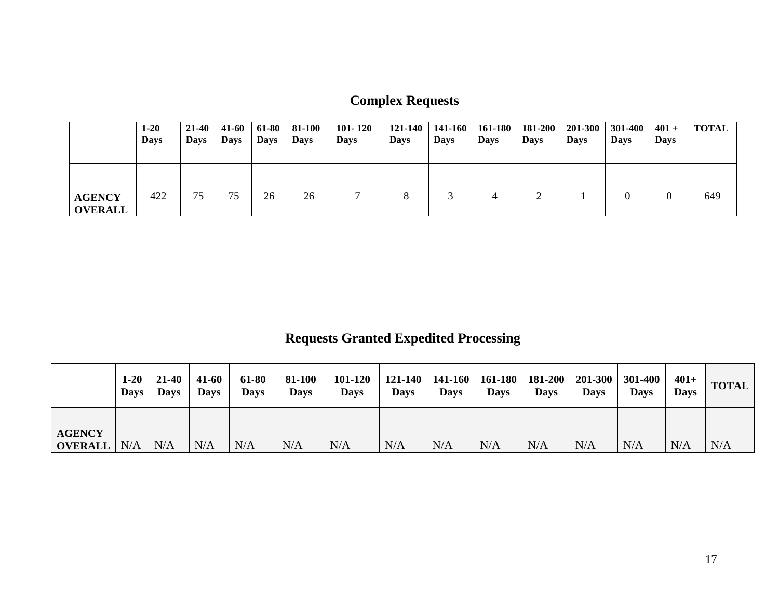| <b>Complex Requests</b> |  |
|-------------------------|--|
|-------------------------|--|

|                                 | $1-20$<br><b>Days</b> | $21 - 40$<br><b>Days</b> | 41-60<br>Days | 61-80<br><b>Days</b> | 81-100<br><b>Days</b> | $101 - 120$<br><b>Days</b> | 121-140<br><b>Days</b> | 141-160<br><b>Days</b> | 161-180<br><b>Days</b> | 181-200<br><b>Days</b> | 201-300<br><b>Days</b> | 301-400<br><b>Days</b> | $401 +$<br><b>Days</b> | <b>TOTAL</b> |
|---------------------------------|-----------------------|--------------------------|---------------|----------------------|-----------------------|----------------------------|------------------------|------------------------|------------------------|------------------------|------------------------|------------------------|------------------------|--------------|
| <b>AGENCY</b><br><b>OVERALL</b> | 422                   | 75                       | 75            | 26                   | 26                    |                            | 8                      |                        | 4                      |                        |                        |                        |                        | 649          |

# **Requests Granted Expedited Processing**

|                                 | $1-20$<br><b>Days</b> | $21 - 40$<br><b>Days</b> | 41-60<br><b>Days</b> | 61-80<br><b>Days</b> | 81-100<br><b>Days</b> | 101-120<br><b>Days</b> | <b>Days</b> | $121-140$   141-160  <br><b>Days</b> | 161-180<br><b>Days</b> | 181-200<br><b>Days</b> | 201-300<br><b>Days</b> | 301-400<br><b>Days</b> | $401+$<br><b>Days</b> | <b>TOTAL</b> |
|---------------------------------|-----------------------|--------------------------|----------------------|----------------------|-----------------------|------------------------|-------------|--------------------------------------|------------------------|------------------------|------------------------|------------------------|-----------------------|--------------|
| <b>AGENCY</b><br><b>OVERALL</b> | N/A                   | N/A                      | N/A                  | N/A                  | N/A                   | N/A                    | N/A         | N/A                                  | $\rm N/A$              | N/A                    | N/A                    | N/A                    | N/A                   | N/A          |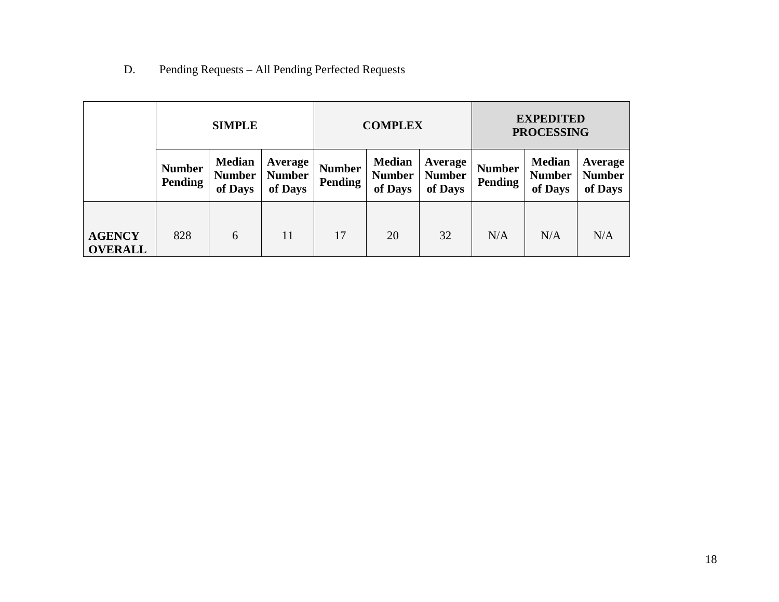## D. Pending Requests – All Pending Perfected Requests

|                                 | <b>SIMPLE</b>                   |                                           |                                            |                          | <b>COMPLEX</b>                            |                                            | <b>EXPEDITED</b><br><b>PROCESSING</b> |                                           |                                     |  |
|---------------------------------|---------------------------------|-------------------------------------------|--------------------------------------------|--------------------------|-------------------------------------------|--------------------------------------------|---------------------------------------|-------------------------------------------|-------------------------------------|--|
|                                 | <b>Number</b><br><b>Pending</b> | <b>Median</b><br><b>Number</b><br>of Days | <b>Average</b><br><b>Number</b><br>of Days | <b>Number</b><br>Pending | <b>Median</b><br><b>Number</b><br>of Days | <b>Average</b><br><b>Number</b><br>of Days | <b>Number</b><br>Pending              | <b>Median</b><br><b>Number</b><br>of Days | Average<br><b>Number</b><br>of Days |  |
| <b>AGENCY</b><br><b>OVERALL</b> | 828                             | 6                                         | 11                                         | 17                       | 20                                        | 32                                         | N/A                                   | N/A                                       | N/A                                 |  |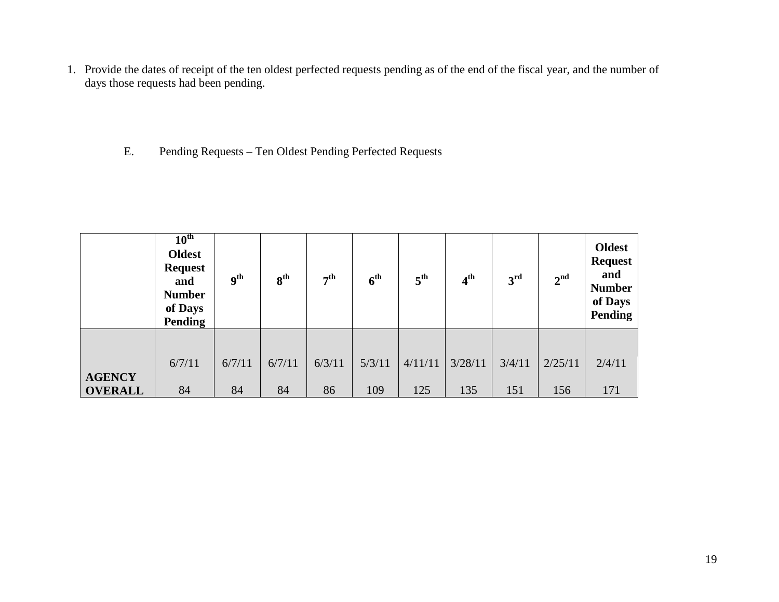1. Provide the dates of receipt of the ten oldest perfected requests pending as of the end of the fiscal year, and the number of days those requests had been pending.

## E. Pending Requests – Ten Oldest Pending Perfected Requests

|                | $10^{\text{th}}$<br><b>Oldest</b><br><b>Request</b><br>and<br><b>Number</b><br>of Days<br>Pending | <b>9th</b> | 8 <sup>th</sup> | 7 <sup>th</sup> | 6 <sup>th</sup> | 5 <sup>th</sup> | 4 <sup>th</sup> | 3 <sup>rd</sup> | 2 <sup>nd</sup> | <b>Oldest</b><br><b>Request</b><br>and<br><b>Number</b><br>of Days<br>Pending |
|----------------|---------------------------------------------------------------------------------------------------|------------|-----------------|-----------------|-----------------|-----------------|-----------------|-----------------|-----------------|-------------------------------------------------------------------------------|
| <b>AGENCY</b>  | 6/7/11                                                                                            | 6/7/11     | 6/7/11          | 6/3/11          | 5/3/11          | 4/11/11         | 3/28/11         | 3/4/11          | 2/25/11         | 2/4/11                                                                        |
| <b>OVERALL</b> | 84                                                                                                | 84         | 84              | 86              | 109             | 125             | 135             | 151             | 156             | 171                                                                           |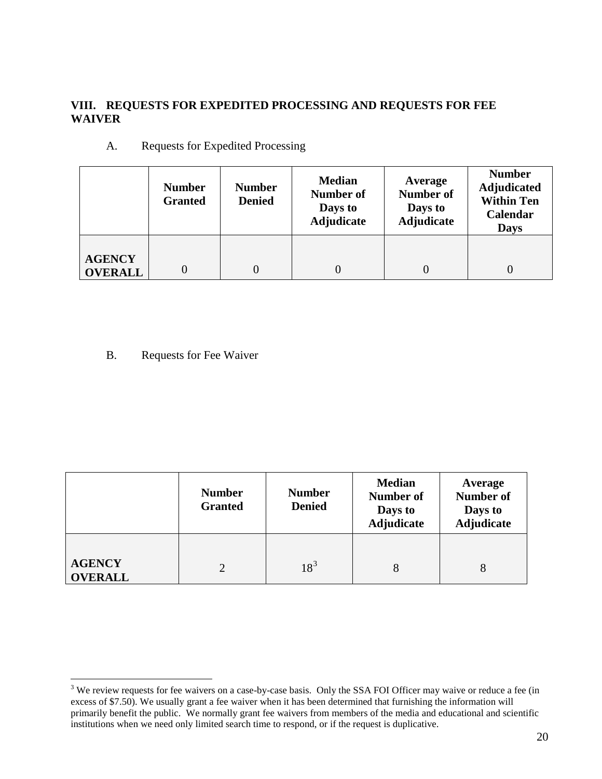## **VIII. REQUESTS FOR EXPEDITED PROCESSING AND REQUESTS FOR FEE WAIVER**

|                                 | <b>Number</b><br><b>Granted</b> | <b>Number</b><br><b>Denied</b> | <b>Median</b><br><b>Number of</b><br>Days to<br>Adjudicate | Average<br><b>Number of</b><br>Days to<br><b>Adjudicate</b> | <b>Number</b><br><b>Adjudicated</b><br><b>Within Ten</b><br>Calendar<br><b>Days</b> |
|---------------------------------|---------------------------------|--------------------------------|------------------------------------------------------------|-------------------------------------------------------------|-------------------------------------------------------------------------------------|
| <b>AGENCY</b><br><b>OVERALL</b> |                                 | $\Omega$                       |                                                            | 0                                                           | $\Omega$                                                                            |

A. Requests for Expedited Processing

B. Requests for Fee Waiver

|                                 | <b>Number</b><br><b>Granted</b> | <b>Number</b><br><b>Denied</b> | <b>Median</b><br><b>Number of</b><br>Days to<br><b>Adjudicate</b> | Average<br><b>Number of</b><br>Days to<br><b>Adjudicate</b> |
|---------------------------------|---------------------------------|--------------------------------|-------------------------------------------------------------------|-------------------------------------------------------------|
| <b>AGENCY</b><br><b>OVERALL</b> |                                 | $18^{3}$                       | 8                                                                 | 8                                                           |

<span id="page-19-0"></span><sup>&</sup>lt;sup>3</sup> We review requests for fee waivers on a case-by-case basis. Only the SSA FOI Officer may waive or reduce a fee (in excess of \$7.50). We usually grant a fee waiver when it has been determined that furnishing the information will primarily benefit the public. We normally grant fee waivers from members of the media and educational and scientific institutions when we need only limited search time to respond, or if the request is duplicative.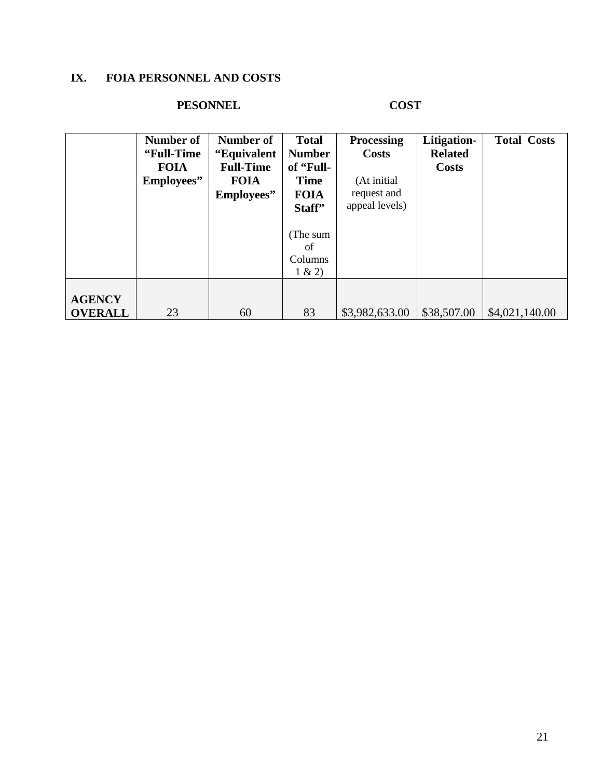## **IX. FOIA PERSONNEL AND COSTS**

## **PESONNEL COST**

|                | Number of   | Number of        | <b>Total</b>  | <b>Processing</b> | Litigation-    | <b>Total Costs</b> |
|----------------|-------------|------------------|---------------|-------------------|----------------|--------------------|
|                | "Full-Time" | "Equivalent      | <b>Number</b> | <b>Costs</b>      | <b>Related</b> |                    |
|                | <b>FOIA</b> | <b>Full-Time</b> | of "Full-     |                   | <b>Costs</b>   |                    |
|                | Employees"  | <b>FOIA</b>      | <b>Time</b>   | (At initial       |                |                    |
|                |             | Employees"       | <b>FOIA</b>   | request and       |                |                    |
|                |             |                  | Staff"        | appeal levels)    |                |                    |
|                |             |                  |               |                   |                |                    |
|                |             |                  | (The sum      |                   |                |                    |
|                |             |                  | of            |                   |                |                    |
|                |             |                  | Columns       |                   |                |                    |
|                |             |                  | 1 & 2)        |                   |                |                    |
|                |             |                  |               |                   |                |                    |
| <b>AGENCY</b>  |             |                  |               |                   |                |                    |
| <b>OVERALL</b> | 23          | 60               | 83            | \$3,982,633.00    | \$38,507.00    | \$4,021,140.00     |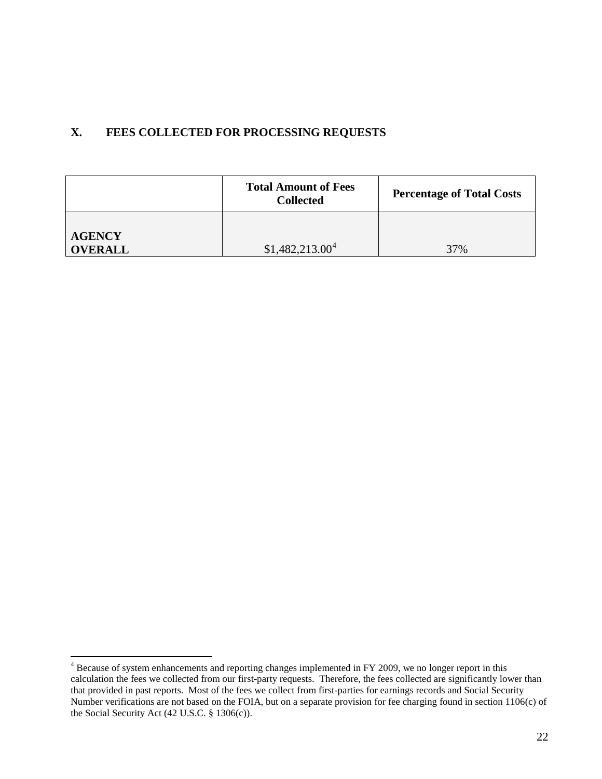## **X. FEES COLLECTED FOR PROCESSING REQUESTS**

|                                 | <b>Total Amount of Fees</b><br><b>Collected</b> | <b>Percentage of Total Costs</b> |  |
|---------------------------------|-------------------------------------------------|----------------------------------|--|
| <b>AGENCY</b><br><b>OVERALL</b> | \$1,482,213.00 <sup>4</sup>                     | 37%                              |  |

<sup>&</sup>lt;sup>4</sup> Because of system enhancements and reporting changes implemented in FY 2009, we no longer report in this calculation the fees we collected from our first-party requests. Therefore, the fees collected are significantly lower than that provided in past reports. Most of the fees we collect from first-parties for earnings records and Social Security Number verifications are not based on the FOIA, but on a separate provision for fee charging found in section 1106(c) of the Social Security Act (42 U.S.C. § 1306(c)).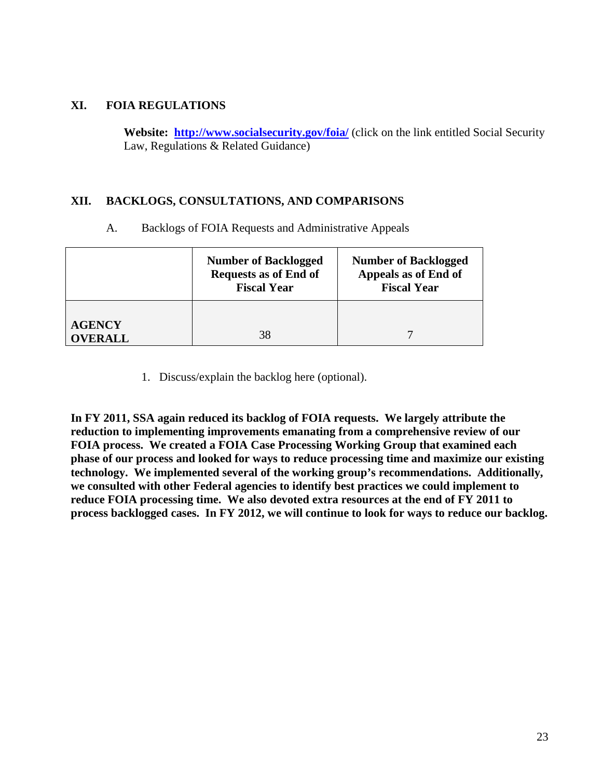## **XI. FOIA REGULATIONS**

**AGENCY** 

**Website: <http://www.socialsecurity.gov/foia/>** (click on the link entitled Social Security Law, Regulations & Related Guidance)

#### **XII. BACKLOGS, CONSULTATIONS, AND COMPARISONS**

| <b>Number of Backlogged</b><br><b>Requests as of End of</b><br><b>Fiscal Year</b> | <b>Number of Backlogged</b><br>Appeals as of End of<br><b>Fiscal Year</b> |
|-----------------------------------------------------------------------------------|---------------------------------------------------------------------------|
|                                                                                   |                                                                           |

A. Backlogs of FOIA Requests and Administrative Appeals

1. Discuss/explain the backlog here (optional).

**OVERALL** 38 7

**In FY 2011, SSA again reduced its backlog of FOIA requests. We largely attribute the reduction to implementing improvements emanating from a comprehensive review of our FOIA process. We created a FOIA Case Processing Working Group that examined each phase of our process and looked for ways to reduce processing time and maximize our existing technology. We implemented several of the working group's recommendations. Additionally, we consulted with other Federal agencies to identify best practices we could implement to reduce FOIA processing time. We also devoted extra resources at the end of FY 2011 to process backlogged cases. In FY 2012, we will continue to look for ways to reduce our backlog.**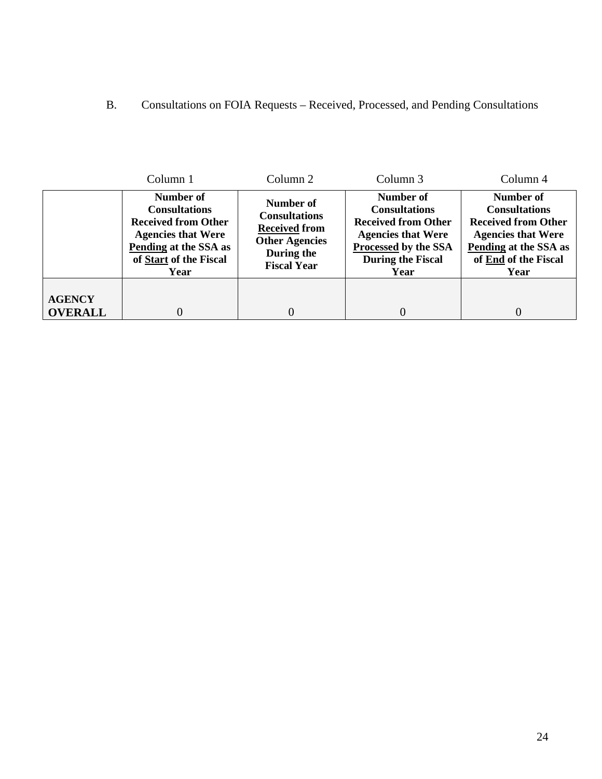## B. Consultations on FOIA Requests – Received, Processed, and Pending Consultations

|                                 | Column 1                                                                                                                                                | Column 2                                                                                                               | Column 3                                                                                                                                                 | Column 4                                                                                                                                              |
|---------------------------------|---------------------------------------------------------------------------------------------------------------------------------------------------------|------------------------------------------------------------------------------------------------------------------------|----------------------------------------------------------------------------------------------------------------------------------------------------------|-------------------------------------------------------------------------------------------------------------------------------------------------------|
|                                 | Number of<br><b>Consultations</b><br><b>Received from Other</b><br><b>Agencies that Were</b><br>Pending at the SSA as<br>of Start of the Fiscal<br>Year | Number of<br><b>Consultations</b><br><b>Received from</b><br><b>Other Agencies</b><br>During the<br><b>Fiscal Year</b> | Number of<br><b>Consultations</b><br><b>Received from Other</b><br><b>Agencies that Were</b><br>Processed by the SSA<br><b>During the Fiscal</b><br>Year | Number of<br><b>Consultations</b><br><b>Received from Other</b><br><b>Agencies that Were</b><br>Pending at the SSA as<br>of End of the Fiscal<br>Year |
| <b>AGENCY</b><br><b>OVERALL</b> |                                                                                                                                                         |                                                                                                                        | 0                                                                                                                                                        | 0                                                                                                                                                     |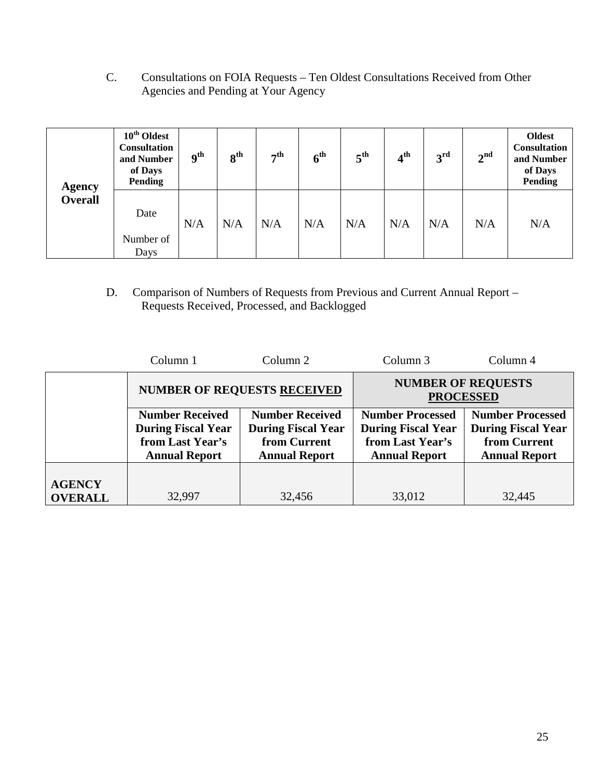C. Consultations on FOIA Requests – Ten Oldest Consultations Received from Other Agencies and Pending at Your Agency

| <b>Agency</b><br><b>Overall</b> | $10^{\text{th}}$ Oldest<br>Consultation<br>and Number<br>of Days<br>Pending | <sub>9th</sub> | 8 <sup>th</sup> | 7 <sup>th</sup> | 6 <sup>th</sup> | 5 <sup>th</sup> | 4 <sup>th</sup> | 3 <sup>rd</sup> | 2 <sup>nd</sup> | <b>Oldest</b><br><b>Consultation</b><br>and Number<br>of Days<br><b>Pending</b> |
|---------------------------------|-----------------------------------------------------------------------------|----------------|-----------------|-----------------|-----------------|-----------------|-----------------|-----------------|-----------------|---------------------------------------------------------------------------------|
|                                 | Date<br>Number of<br>Days                                                   | N/A            | N/A             | N/A             | N/A             | N/A             | N/A             | N/A             | N/A             | N/A                                                                             |

D. Comparison of Numbers of Requests from Previous and Current Annual Report – Requests Received, Processed, and Backlogged

|                | Column 1                                                                                        | Column <sub>2</sub>                                                                         | Column 3                                                                                         | Column 4                                                                                     |  |
|----------------|-------------------------------------------------------------------------------------------------|---------------------------------------------------------------------------------------------|--------------------------------------------------------------------------------------------------|----------------------------------------------------------------------------------------------|--|
|                |                                                                                                 | <b>NUMBER OF REQUESTS RECEIVED</b>                                                          | <b>NUMBER OF REQUESTS</b><br><b>PROCESSED</b>                                                    |                                                                                              |  |
|                | <b>Number Received</b><br><b>During Fiscal Year</b><br>from Last Year's<br><b>Annual Report</b> | <b>Number Received</b><br><b>During Fiscal Year</b><br>from Current<br><b>Annual Report</b> | <b>Number Processed</b><br><b>During Fiscal Year</b><br>from Last Year's<br><b>Annual Report</b> | <b>Number Processed</b><br><b>During Fiscal Year</b><br>from Current<br><b>Annual Report</b> |  |
| <b>AGENCY</b>  |                                                                                                 |                                                                                             |                                                                                                  |                                                                                              |  |
| <b>OVERALL</b> | 32,997                                                                                          | 32,456                                                                                      | 33,012                                                                                           | 32,445                                                                                       |  |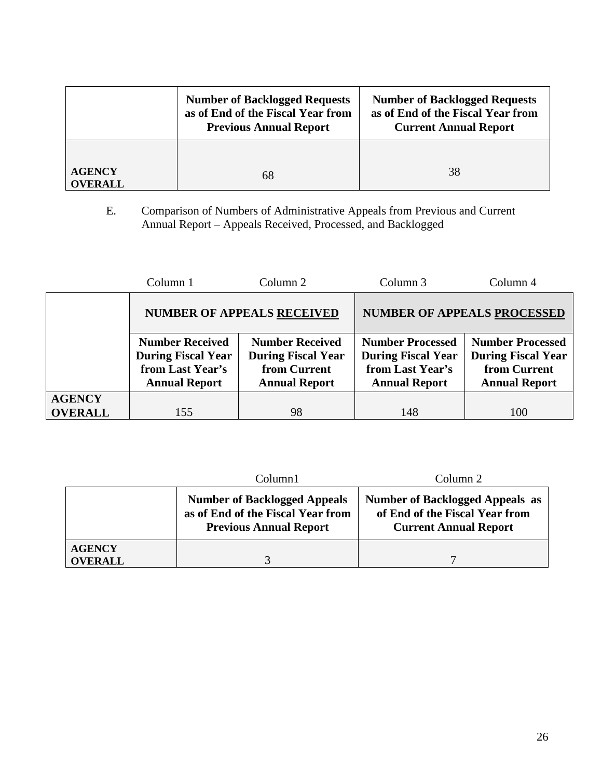|                                 | <b>Number of Backlogged Requests</b><br>as of End of the Fiscal Year from<br><b>Previous Annual Report</b> | <b>Number of Backlogged Requests</b><br>as of End of the Fiscal Year from<br><b>Current Annual Report</b> |  |  |
|---------------------------------|------------------------------------------------------------------------------------------------------------|-----------------------------------------------------------------------------------------------------------|--|--|
| <b>AGENCY</b><br><b>OVERALL</b> | 68                                                                                                         | 38                                                                                                        |  |  |

E. Comparison of Numbers of Administrative Appeals from Previous and Current Annual Report – Appeals Received, Processed, and Backlogged

|                | Column 1                                                                                        | Column 2                                                                                    | Column 3                                                                                         | Column 4                                                                                     |  |
|----------------|-------------------------------------------------------------------------------------------------|---------------------------------------------------------------------------------------------|--------------------------------------------------------------------------------------------------|----------------------------------------------------------------------------------------------|--|
|                |                                                                                                 | <b>NUMBER OF APPEALS RECEIVED</b>                                                           | <b>NUMBER OF APPEALS PROCESSED</b>                                                               |                                                                                              |  |
|                | <b>Number Received</b><br><b>During Fiscal Year</b><br>from Last Year's<br><b>Annual Report</b> | <b>Number Received</b><br><b>During Fiscal Year</b><br>from Current<br><b>Annual Report</b> | <b>Number Processed</b><br><b>During Fiscal Year</b><br>from Last Year's<br><b>Annual Report</b> | <b>Number Processed</b><br><b>During Fiscal Year</b><br>from Current<br><b>Annual Report</b> |  |
| <b>AGENCY</b>  |                                                                                                 |                                                                                             |                                                                                                  |                                                                                              |  |
| <b>OVERALL</b> | 155                                                                                             | 98                                                                                          | 148                                                                                              | 100                                                                                          |  |

|                                 | Column1                                                                                                   | Column 2                                                                                                 |
|---------------------------------|-----------------------------------------------------------------------------------------------------------|----------------------------------------------------------------------------------------------------------|
|                                 | <b>Number of Backlogged Appeals</b><br>as of End of the Fiscal Year from<br><b>Previous Annual Report</b> | <b>Number of Backlogged Appeals as</b><br>of End of the Fiscal Year from<br><b>Current Annual Report</b> |
| <b>AGENCY</b><br><b>OVERALL</b> |                                                                                                           |                                                                                                          |